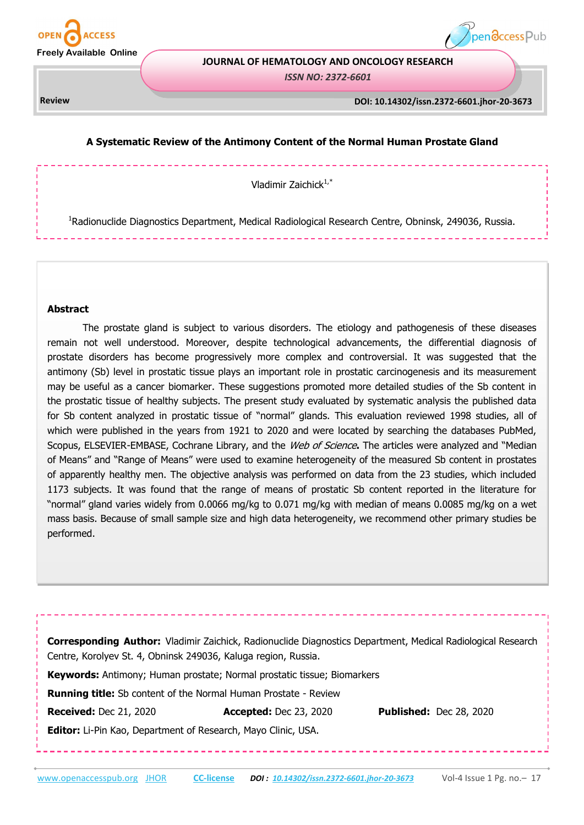



#### **JOURNAL OF HEMATOLOGY AND ONCOLOGY RESEARCH**

*ISSN NO: 2372-6601* 

# **DOI : 10.14302/issn.2470-0436.jos-17-1825 Review DOI: 10.14302/issn.2372-6601.jhor-20-3673**

## **A Systematic Review of the Antimony Content of the Normal Human Prostate Gland**

Vladimir Zaichick $1,$ \*

<sup>1</sup>Radionuclide Diagnostics Department, Medical Radiological Research Centre, Obninsk, 249036, Russia.

#### **Abstract**

The prostate gland is subject to various disorders. The etiology and pathogenesis of these diseases remain not well understood. Moreover, despite technological advancements, the differential diagnosis of prostate disorders has become progressively more complex and controversial. It was suggested that the antimony (Sb) level in prostatic tissue plays an important role in prostatic carcinogenesis and its measurement may be useful as a cancer biomarker. These suggestions promoted more detailed studies of the Sb content in the prostatic tissue of healthy subjects. The present study evaluated by systematic analysis the published data for Sb content analyzed in prostatic tissue of "normal" glands. This evaluation reviewed 1998 studies, all of which were published in the years from 1921 to 2020 and were located by searching the databases PubMed, Scopus, ELSEVIER-EMBASE, Cochrane Library, and the Web of Science**.** The articles were analyzed and "Median of Means" and "Range of Means" were used to examine heterogeneity of the measured Sb content in prostates of apparently healthy men. The objective analysis was performed on data from the 23 studies, which included 1173 subjects. It was found that the range of means of prostatic Sb content reported in the literature for "normal" gland varies widely from 0.0066 mg/kg to 0.071 mg/kg with median of means 0.0085 mg/kg on a wet mass basis. Because of small sample size and high data heterogeneity, we recommend other primary studies be performed.

| <b>Corresponding Author:</b> Vladimir Zaichick, Radionuclide Diagnostics Department, Medical Radiological Research |
|--------------------------------------------------------------------------------------------------------------------|
| Centre, Korolyev St. 4, Obninsk 249036, Kaluga region, Russia.                                                     |
| <b>Keywords:</b> Antimony; Human prostate; Normal prostatic tissue; Biomarkers                                     |
| <b>Running title:</b> Sb content of the Normal Human Prostate - Review                                             |

**Received:** Dec 21, 2020 **Accepted:** Dec 23, 2020 **Published:** Dec 28, 2020

**Editor:** Li-Pin Kao, Department of Research, Mayo Clinic, USA.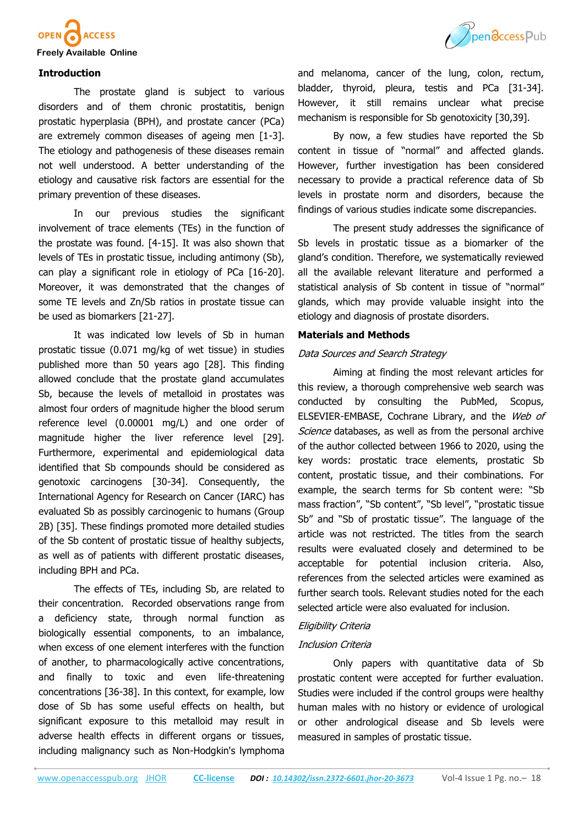



## **Introduction**

The prostate gland is subject to various disorders and of them chronic prostatitis, benign prostatic hyperplasia (BPH), and prostate cancer (PCa) are extremely common diseases of ageing men [1-3]. The etiology and pathogenesis of these diseases remain not well understood. A better understanding of the etiology and causative risk factors are essential for the primary prevention of these diseases.

In our previous studies the significant involvement of trace elements (TEs) in the function of the prostate was found. [4-15]. It was also shown that levels of TEs in prostatic tissue, including antimony (Sb), can play a significant role in etiology of PCa [16-20]. Moreover, it was demonstrated that the changes of some TE levels and Zn/Sb ratios in prostate tissue can be used as biomarkers [21-27].

It was indicated low levels of Sb in human prostatic tissue (0.071 mg/kg of wet tissue) in studies published more than 50 years ago [28]. This finding allowed conclude that the prostate gland accumulates Sb, because the levels of metalloid in prostates was almost four orders of magnitude higher the blood serum reference level (0.00001 mg/L) and one order of magnitude higher the liver reference level [29]. Furthermore, experimental and epidemiological data identified that Sb compounds should be considered as genotoxic carcinogens [30-34]. Consequently, the International Agency for Research on Cancer (IARC) has evaluated Sb as possibly carcinogenic to humans (Group 2B) [35]. These findings promoted more detailed studies of the Sb content of prostatic tissue of healthy subjects, as well as of patients with different prostatic diseases, including BPH and PCa.

The effects of TEs, including Sb, are related to their concentration. Recorded observations range from a deficiency state, through normal function as biologically essential components, to an imbalance, when excess of one element interferes with the function of another, to pharmacologically active concentrations, and finally to toxic and even life-threatening concentrations [36-38]. In this context, for example, low dose of Sb has some useful effects on health, but significant exposure to this metalloid may result in adverse health effects in different organs or tissues, including malignancy such as Non-Hodgkin's lymphoma

and melanoma, cancer of the lung, colon, rectum, bladder, thyroid, pleura, testis and PCa [31-34]. However, it still remains unclear what precise mechanism is responsible for Sb genotoxicity [30,39].

By now, a few studies have reported the Sb content in tissue of "normal" and affected glands. However, further investigation has been considered necessary to provide a practical reference data of Sb levels in prostate norm and disorders, because the findings of various studies indicate some discrepancies.

The present study addresses the significance of Sb levels in prostatic tissue as a biomarker of the gland's condition. Therefore, we systematically reviewed all the available relevant literature and performed a statistical analysis of Sb content in tissue of "normal" glands, which may provide valuable insight into the etiology and diagnosis of prostate disorders.

### **Materials and Methods**

### Data Sources and Search Strategy

Aiming at finding the most relevant articles for this review, a thorough comprehensive web search was conducted by consulting the PubMed, Scopus, ELSEVIER-EMBASE, Cochrane Library, and the Web of Science databases, as well as from the personal archive of the author collected between 1966 to 2020, using the key words: prostatic trace elements, prostatic Sb content, prostatic tissue, and their combinations. For example, the search terms for Sb content were: "Sb mass fraction", "Sb content", "Sb level", "prostatic tissue Sb" and "Sb of prostatic tissue". The language of the article was not restricted. The titles from the search results were evaluated closely and determined to be acceptable for potential inclusion criteria. Also, references from the selected articles were examined as further search tools. Relevant studies noted for the each selected article were also evaluated for inclusion.

## Eligibility Criteria

#### Inclusion Criteria

Only papers with quantitative data of Sb prostatic content were accepted for further evaluation. Studies were included if the control groups were healthy human males with no history or evidence of urological or other andrological disease and Sb levels were measured in samples of prostatic tissue.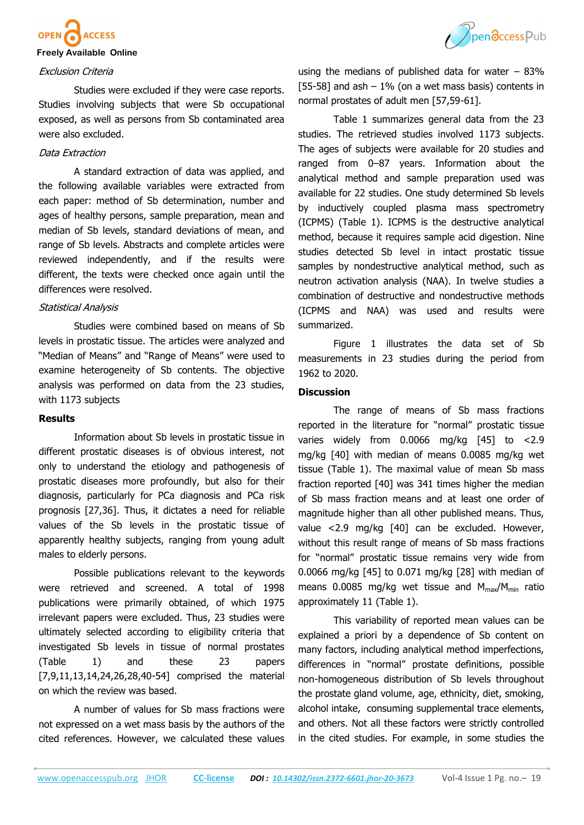

#### Exclusion Criteria

Studies were excluded if they were case reports. Studies involving subjects that were Sb occupational exposed, as well as persons from Sb contaminated area were also excluded.

## Data Extraction

A standard extraction of data was applied, and the following available variables were extracted from each paper: method of Sb determination, number and ages of healthy persons, sample preparation, mean and median of Sb levels, standard deviations of mean, and range of Sb levels. Abstracts and complete articles were reviewed independently, and if the results were different, the texts were checked once again until the differences were resolved.

### Statistical Analysis

Studies were combined based on means of Sb levels in prostatic tissue. The articles were analyzed and "Median of Means" and "Range of Means" were used to examine heterogeneity of Sb contents. The objective analysis was performed on data from the 23 studies, with 1173 subjects

### **Results**

Information about Sb levels in prostatic tissue in different prostatic diseases is of obvious interest, not only to understand the etiology and pathogenesis of prostatic diseases more profoundly, but also for their diagnosis, particularly for PCa diagnosis and PCa risk prognosis [27,36]. Thus, it dictates a need for reliable values of the Sb levels in the prostatic tissue of apparently healthy subjects, ranging from young adult males to elderly persons.

Possible publications relevant to the keywords were retrieved and screened. A total of 1998 publications were primarily obtained, of which 1975 irrelevant papers were excluded. Thus, 23 studies were ultimately selected according to eligibility criteria that investigated Sb levels in tissue of normal prostates (Table 1) and these 23 papers [7,9,11,13,14,24,26,28,40-54] comprised the material on which the review was based.

A number of values for Sb mass fractions were not expressed on a wet mass basis by the authors of the cited references. However, we calculated these values



using the medians of published data for water  $-83\%$ [55-58] and ash  $-1\%$  (on a wet mass basis) contents in normal prostates of adult men [57,59-61].

Table 1 summarizes general data from the 23 studies. The retrieved studies involved 1173 subjects. The ages of subjects were available for 20 studies and ranged from 0–87 years. Information about the analytical method and sample preparation used was available for 22 studies. One study determined Sb levels by inductively coupled plasma mass spectrometry (ICPMS) (Table 1). ICPMS is the destructive analytical method, because it requires sample acid digestion. Nine studies detected Sb level in intact prostatic tissue samples by nondestructive analytical method, such as neutron activation analysis (NAA). In twelve studies a combination of destructive and nondestructive methods (ICPMS and NAA) was used and results were summarized.

Figure 1 illustrates the data set of Sb measurements in 23 studies during the period from 1962 to 2020.

## **Discussion**

The range of means of Sb mass fractions reported in the literature for "normal" prostatic tissue varies widely from 0.0066 mg/kg [45] to <2.9 mg/kg [40] with median of means 0.0085 mg/kg wet tissue (Table 1). The maximal value of mean Sb mass fraction reported [40] was 341 times higher the median of Sb mass fraction means and at least one order of magnitude higher than all other published means. Thus, value <2.9 mg/kg [40] can be excluded. However, without this result range of means of Sb mass fractions for "normal" prostatic tissue remains very wide from 0.0066 mg/kg [45] to 0.071 mg/kg [28] with median of means 0.0085 mg/kg wet tissue and  $M_{max}/M_{min}$  ratio approximately 11 (Table 1).

This variability of reported mean values can be explained a priori by a dependence of Sb content on many factors, including analytical method imperfections, differences in "normal" prostate definitions, possible non-homogeneous distribution of Sb levels throughout the prostate gland volume, age, ethnicity, diet, smoking, alcohol intake, consuming supplemental trace elements, and others. Not all these factors were strictly controlled in the cited studies. For example, in some studies the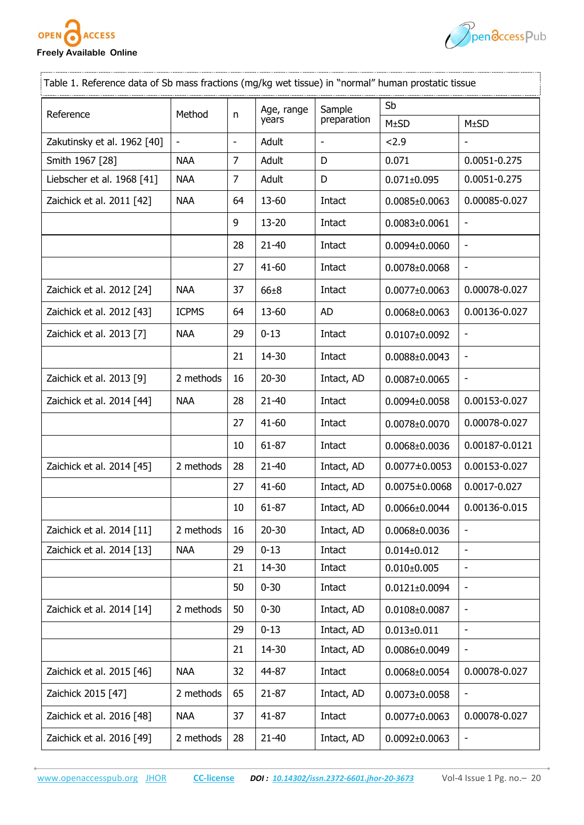



| Table 1. Reference data of Sb mass fractions (mg/kg wet tissue) in "normal" human prostatic tissue |                          |                          |                     |                          |                     |                              |  |  |  |
|----------------------------------------------------------------------------------------------------|--------------------------|--------------------------|---------------------|--------------------------|---------------------|------------------------------|--|--|--|
| Reference                                                                                          | Method                   |                          | Age, range<br>years | Sample<br>preparation    | Sb                  |                              |  |  |  |
|                                                                                                    |                          | n                        |                     |                          | M±SD                | M±SD                         |  |  |  |
| Zakutinsky et al. 1962 [40]                                                                        | $\overline{\phantom{a}}$ | $\overline{\phantom{a}}$ | Adult               | $\overline{\phantom{m}}$ | 2.9                 |                              |  |  |  |
| Smith 1967 [28]                                                                                    | <b>NAA</b>               | $\overline{7}$           | Adult               | D                        | 0.071               | 0.0051-0.275                 |  |  |  |
| Liebscher et al. 1968 [41]                                                                         | <b>NAA</b>               | $\overline{7}$           | Adult               | D                        | $0.071 \pm 0.095$   | 0.0051-0.275                 |  |  |  |
| Zaichick et al. 2011 [42]                                                                          | <b>NAA</b>               | 64                       | 13-60               | Intact                   | $0.0085 \pm 0.0063$ | 0.00085-0.027                |  |  |  |
|                                                                                                    |                          | 9                        | 13-20               | Intact                   | $0.0083 \pm 0.0061$ | $\qquad \qquad \blacksquare$ |  |  |  |
|                                                                                                    |                          | 28                       | $21 - 40$           | Intact                   | $0.0094\pm0.0060$   | -                            |  |  |  |
|                                                                                                    |                          | 27                       | $41 - 60$           | Intact                   | $0.0078 \pm 0.0068$ |                              |  |  |  |
| Zaichick et al. 2012 [24]                                                                          | <b>NAA</b>               | 37                       | $66 \pm 8$          | Intact                   | $0.0077 \pm 0.0063$ | 0.00078-0.027                |  |  |  |
| Zaichick et al. 2012 [43]                                                                          | <b>ICPMS</b>             | 64                       | 13-60               | <b>AD</b>                | $0.0068 \pm 0.0063$ | 0.00136-0.027                |  |  |  |
| Zaichick et al. 2013 [7]                                                                           | <b>NAA</b>               | 29                       | $0 - 13$            | Intact                   | $0.0107 \pm 0.0092$ |                              |  |  |  |
|                                                                                                    |                          | 21                       | 14-30               | Intact                   | $0.0088 \pm 0.0043$ |                              |  |  |  |
| Zaichick et al. 2013 [9]                                                                           | 2 methods                | 16                       | $20 - 30$           | Intact, AD               | $0.0087 \pm 0.0065$ |                              |  |  |  |
| Zaichick et al. 2014 [44]                                                                          | <b>NAA</b>               | 28                       | $21 - 40$           | Intact                   | $0.0094\pm0.0058$   | 0.00153-0.027                |  |  |  |
|                                                                                                    |                          | 27                       | $41 - 60$           | Intact                   | $0.0078 \pm 0.0070$ | 0.00078-0.027                |  |  |  |
|                                                                                                    |                          | 10                       | $61 - 87$           | Intact                   | $0.0068 \pm 0.0036$ | 0.00187-0.0121               |  |  |  |
| Zaichick et al. 2014 [45]                                                                          | 2 methods                | 28                       | $21 - 40$           | Intact, AD               | $0.0077 \pm 0.0053$ | 0.00153-0.027                |  |  |  |
|                                                                                                    |                          | 27                       | $41 - 60$           | Intact, AD               | $0.0075 \pm 0.0068$ | 0.0017-0.027                 |  |  |  |
|                                                                                                    |                          | 10                       | 61-87               | Intact, AD               | $0.0066 \pm 0.0044$ | 0.00136-0.015                |  |  |  |
| Zaichick et al. 2014 [11]                                                                          | 2 methods                | 16                       | $20 - 30$           | Intact, AD               | $0.0068 \pm 0.0036$ | $\overline{\phantom{a}}$     |  |  |  |
| Zaichick et al. 2014 [13]                                                                          | <b>NAA</b>               | 29                       | $0 - 13$            | Intact                   | $0.014 \pm 0.012$   |                              |  |  |  |
|                                                                                                    |                          | 21                       | 14-30               | Intact                   | $0.010\pm0.005$     |                              |  |  |  |
|                                                                                                    |                          | 50                       | $0 - 30$            | Intact                   | $0.0121 \pm 0.0094$ |                              |  |  |  |
| Zaichick et al. 2014 [14]                                                                          | 2 methods                | 50                       | $0 - 30$            | Intact, AD               | $0.0108 \pm 0.0087$ | $\overline{\phantom{a}}$     |  |  |  |
|                                                                                                    |                          | 29                       | $0 - 13$            | Intact, AD               | $0.013 \pm 0.011$   | $\overline{\phantom{a}}$     |  |  |  |
|                                                                                                    |                          | 21                       | 14-30               | Intact, AD               | $0.0086 \pm 0.0049$ |                              |  |  |  |
| Zaichick et al. 2015 [46]                                                                          | <b>NAA</b>               | 32                       | 44-87               | Intact                   | $0.0068 \pm 0.0054$ | 0.00078-0.027                |  |  |  |
| Zaichick 2015 [47]                                                                                 | 2 methods                | 65                       | $21 - 87$           | Intact, AD               | $0.0073 \pm 0.0058$ | ۰                            |  |  |  |
| Zaichick et al. 2016 [48]                                                                          | <b>NAA</b>               | 37                       | $41 - 87$           | Intact                   | $0.0077 \pm 0.0063$ | 0.00078-0.027                |  |  |  |
| Zaichick et al. 2016 [49]                                                                          | 2 methods                | 28                       | $21 - 40$           | Intact, AD               | $0.0092\pm0.0063$   |                              |  |  |  |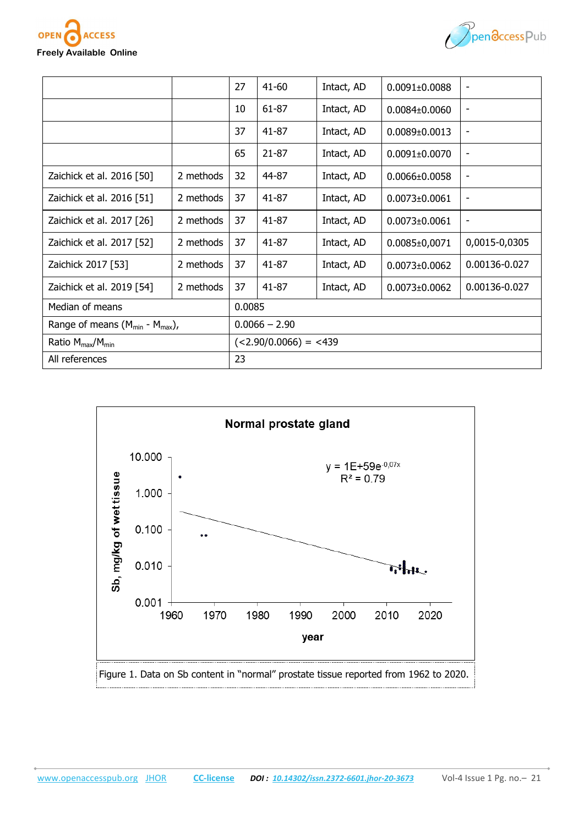**FSS** 

OPE



|                                          |           | 27              | $41 - 60$               | Intact, AD | $0.0091 \pm 0.0088$ |               |  |  |
|------------------------------------------|-----------|-----------------|-------------------------|------------|---------------------|---------------|--|--|
|                                          |           | 10              | $61 - 87$               | Intact, AD | $0.0084 \pm 0.0060$ | -             |  |  |
|                                          |           | 37              | 41-87                   | Intact, AD | $0.0089 \pm 0.0013$ | ٠             |  |  |
|                                          |           | 65              | $21 - 87$               | Intact, AD | $0.0091 \pm 0.0070$ | -             |  |  |
| Zaichick et al. 2016 [50]                | 2 methods | 32              | 44-87                   | Intact, AD | $0.0066 \pm 0.0058$ | -             |  |  |
| Zaichick et al. 2016 [51]                | 2 methods | 37              | $41 - 87$               | Intact, AD | 0.0073+0.0061       | -             |  |  |
| Zaichick et al. 2017 [26]                | 2 methods | 37              | 41-87                   | Intact, AD | $0.0073 \pm 0.0061$ | ۰             |  |  |
| Zaichick et al. 2017 [52]                | 2 methods | 37              | $41 - 87$               | Intact, AD | $0.0085 \pm 0.0071$ | 0,0015-0,0305 |  |  |
| Zaichick 2017 [53]                       | 2 methods | 37              | $41 - 87$               | Intact, AD | $0.0073 \pm 0.0062$ | 0.00136-0.027 |  |  |
| Zaichick et al. 2019 [54]                | 2 methods | 37              | $41 - 87$               | Intact, AD | $0.0073 \pm 0.0062$ | 0.00136-0.027 |  |  |
| Median of means                          |           |                 | 0.0085                  |            |                     |               |  |  |
| Range of means $(M_{min} - M_{max})$ ,   |           | $0.0066 - 2.90$ |                         |            |                     |               |  |  |
| Ratio M <sub>max</sub> /M <sub>min</sub> |           |                 | $(<2.90/0.0066) = <439$ |            |                     |               |  |  |
| All references                           |           |                 | 23                      |            |                     |               |  |  |

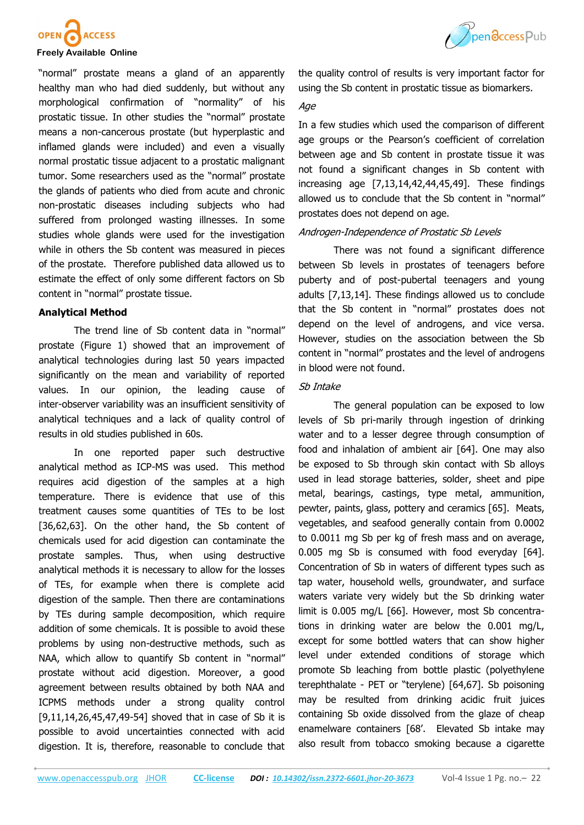



"normal" prostate means a gland of an apparently healthy man who had died suddenly, but without any morphological confirmation of "normality" of his prostatic tissue. In other studies the "normal" prostate means a non-cancerous prostate (but hyperplastic and inflamed glands were included) and even a visually normal prostatic tissue adjacent to a prostatic malignant tumor. Some researchers used as the "normal" prostate the glands of patients who died from acute and chronic non-prostatic diseases including subjects who had suffered from prolonged wasting illnesses. In some studies whole glands were used for the investigation while in others the Sb content was measured in pieces of the prostate. Therefore published data allowed us to estimate the effect of only some different factors on Sb content in "normal" prostate tissue.

### **Analytical Method**

The trend line of Sb content data in "normal" prostate (Figure 1) showed that an improvement of analytical technologies during last 50 years impacted significantly on the mean and variability of reported values. In our opinion, the leading cause of inter-observer variability was an insufficient sensitivity of analytical techniques and a lack of quality control of results in old studies published in 60s.

In one reported paper such destructive analytical method as ICP-MS was used. This method requires acid digestion of the samples at a high temperature. There is evidence that use of this treatment causes some quantities of TEs to be lost [36,62,63]. On the other hand, the Sb content of chemicals used for acid digestion can contaminate the prostate samples. Thus, when using destructive analytical methods it is necessary to allow for the losses of TEs, for example when there is complete acid digestion of the sample. Then there are contaminations by TEs during sample decomposition, which require addition of some chemicals. It is possible to avoid these problems by using non-destructive methods, such as NAA, which allow to quantify Sb content in "normal" prostate without acid digestion. Moreover, a good agreement between results obtained by both NAA and ICPMS methods under a strong quality control [9,11,14,26,45,47,49-54] shoved that in case of Sb it is possible to avoid uncertainties connected with acid digestion. It is, therefore, reasonable to conclude that

the quality control of results is very important factor for using the Sb content in prostatic tissue as biomarkers.

### Age

In a few studies which used the comparison of different age groups or the Pearson's coefficient of correlation between age and Sb content in prostate tissue it was not found a significant changes in Sb content with increasing age [7,13,14,42,44,45,49]. These findings allowed us to conclude that the Sb content in "normal" prostates does not depend on age.

# Androgen-Independence of Prostatic Sb Levels

There was not found a significant difference between Sb levels in prostates of teenagers before puberty and of post-pubertal teenagers and young adults [7,13,14]. These findings allowed us to conclude that the Sb content in "normal" prostates does not depend on the level of androgens, and vice versa. However, studies on the association between the Sb content in "normal" prostates and the level of androgens in blood were not found.

# Sb Intake

The general population can be exposed to low levels of Sb pri-marily through ingestion of drinking water and to a lesser degree through consumption of food and inhalation of ambient air [64]. One may also be exposed to Sb through skin contact with Sb alloys used in lead storage batteries, solder, sheet and pipe metal, bearings, castings, type metal, ammunition, pewter, paints, glass, pottery and ceramics [65]. Meats, vegetables, and seafood generally contain from 0.0002 to 0.0011 mg Sb per kg of fresh mass and on average, 0.005 mg Sb is consumed with food everyday [64]. Concentration of Sb in waters of different types such as tap water, household wells, groundwater, and surface waters variate very widely but the Sb drinking water limit is 0.005 mg/L [66]. However, most Sb concentrations in drinking water are below the 0.001 mg/L, except for some bottled waters that can show higher level under extended conditions of storage which promote Sb leaching from bottle plastic (polyethylene terephthalate - PET or "terylene) [64,67]. Sb poisoning may be resulted from drinking acidic fruit juices containing Sb oxide dissolved from the glaze of cheap enamelware containers [68'. Elevated Sb intake may also result from tobacco smoking because a cigarette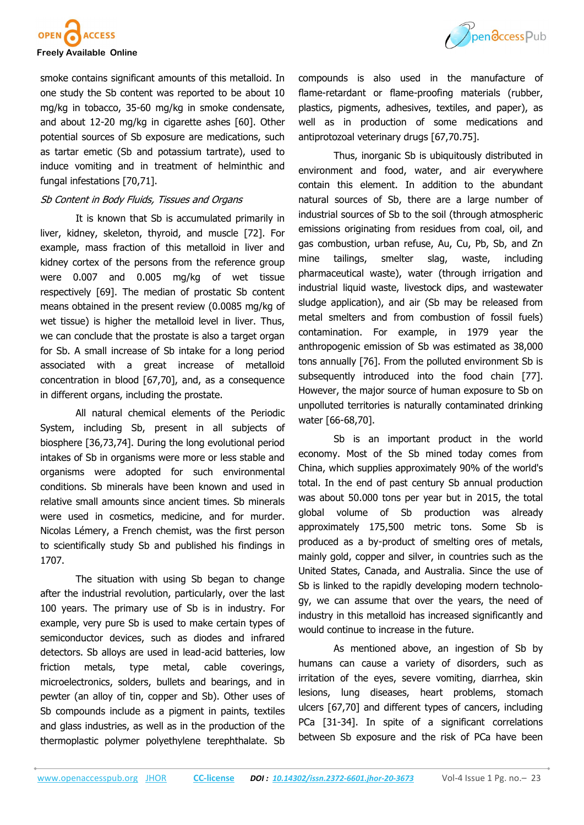



smoke contains significant amounts of this metalloid. In one study the Sb content was reported to be about 10 mg/kg in tobacco, 35-60 mg/kg in smoke condensate, and about 12-20 mg/kg in cigarette ashes [60]. Other potential sources of Sb exposure are medications, such as [tartar emetic \(](https://www.britannica.com/science/tartar-emetic)Sb and potassium tartrate), used to induce vomiting and in treatment of helminthic and fungal infestations [70,71].

# Sb Content in Body Fluids, Tissues and Organs

It is known that Sb is accumulated primarily in liver, kidney, skeleton, thyroid, and muscle [72]. For example, mass fraction of this metalloid in liver and kidney cortex of the persons from the reference group were 0.007 and 0.005 mg/kg of wet tissue respectively [69]. The median of prostatic Sb content means obtained in the present review (0.0085 mg/kg of wet tissue) is higher the metalloid level in liver. Thus, we can conclude that the prostate is also a target organ for Sb. A small increase of Sb intake for a long period associated with a great increase of metalloid concentration in blood [67,70], and, as a consequence in different organs, including the prostate.

All natural chemical elements of the Periodic System, including Sb, present in all subjects of biosphere [36,73,74]. During the long evolutional period intakes of Sb in organisms were more or less stable and organisms were adopted for such environmental conditions. Sb minerals have been known and used in relative small amounts since ancient times. Sb minerals were used in cosmetics, medicine, and for [murder.](https://en.wikipedia.org/wiki/Murder)  Nicolas Lémery, a French chemist, was the first person to scientifically study Sb and published his findings in 1707.

The situation with using Sb began to change after the industrial revolution, particularly, over the last 100 years. The primary use of Sb is in industry. For example, very pure Sb is used to make certain types of semiconductor devices, such as diodes and infrared detectors. Sb alloys are used in lead-acid batteries, low friction metals, type metal, cable coverings, microelectronics, solders, bullets and bearings, and in pewter (an alloy of tin, copper and Sb). Other uses of Sb compounds include as a pigment in paints, textiles and glass industries, as well as in the production of the thermoplastic polymer polyethylene terephthalate. Sb

compounds is also used in the manufacture of flame-retardant or flame-proofing materials (rubber, plastics, pigments, adhesives, textiles, and paper), as well as in production of some medications and antiprotozoal veterinary drugs [67,70.75].

Thus, inorganic Sb is ubiquitously distributed in environment and food, water, and air everywhere contain this element. In addition to the abundant natural sources of Sb, there are a large number of industrial sources of Sb to the soil (through atmospheric emissions originating from residues from coal, oil, and gas combustion, urban refuse, Au, Cu, Pb, Sb, and Zn mine tailings, smelter slag, waste, including pharmaceutical waste), water (through irrigation and industrial liquid waste, livestock dips, and wastewater sludge application), and air (Sb may be released from metal smelters and from combustion of fossil fuels) contamination. For example, in 1979 year the anthropogenic emission of Sb was estimated as 38,000 tons annually [76]. From the polluted environment Sb is subsequently introduced into the food chain [77]. However, the major source of human exposure to Sb on unpolluted territories is naturally contaminated drinking water [66-68,70].

Sb is an important product in the world economy. Most of the Sb mined today comes from China, which supplies approximately 90% of the world's total. In the end of past century Sb annual production was about 50.000 tons per year but in 2015, the total global volume of Sb production was already approximately 175,500 metric tons. Some Sb is produced as a by-product of smelting ores of metals, mainly gold, copper and silver, in countries such as the United States, Canada, and Australia. Since the use of Sb is linked to the rapidly developing modern technology, we can assume that over the years, the need of industry in this metalloid has increased significantly and would continue to increase in the future.

As mentioned above, an ingestion of Sb by humans can cause a variety of disorders, such as irritation of the eyes, severe vomiting, diarrhea, skin lesions, lung diseases, heart problems, stomach ulcers [67,70] and different types of cancers, including PCa [31-34]. In spite of a significant correlations between Sb exposure and the risk of PCa have been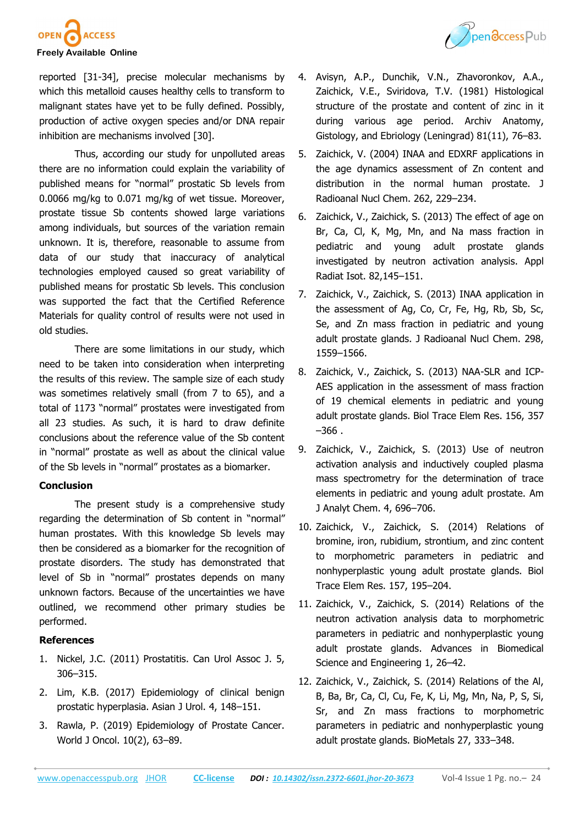



reported [31-34], precise molecular mechanisms by which this metalloid causes healthy cells to transform to malignant states have yet to be fully defined. Possibly, production of active oxygen species and/or DNA repair inhibition are mechanisms involved [30].

Thus, according our study for unpolluted areas there are no information could explain the variability of published means for "normal" prostatic Sb levels from 0.0066 mg/kg to 0.071 mg/kg of wet tissue. Moreover, prostate tissue Sb contents showed large variations among individuals, but sources of the variation remain unknown. It is, therefore, reasonable to assume from data of our study that inaccuracy of analytical technologies employed caused so great variability of published means for prostatic Sb levels. This conclusion was supported the fact that the Certified Reference Materials for quality control of results were not used in old studies.

There are some limitations in our study, which need to be taken into consideration when interpreting the results of this review. The sample size of each study was sometimes relatively small (from 7 to 65), and a total of 1173 "normal" prostates were investigated from all 23 studies. As such, it is hard to draw definite conclusions about the reference value of the Sb content in "normal" prostate as well as about the clinical value of the Sb levels in "normal" prostates as a biomarker.

### **Conclusion**

The present study is a comprehensive study regarding the determination of Sb content in "normal" human prostates. With this knowledge Sb levels may then be considered as a biomarker for the recognition of prostate disorders. The study has demonstrated that level of Sb in "normal" prostates depends on many unknown factors. Because of the uncertainties we have outlined, we recommend other primary studies be performed.

# **References**

- 1. Nickel, J.C. (2011) Prostatitis. Can Urol Assoc J. 5, 306–315.
- 2. [Lim,](https://www.ncbi.nlm.nih.gov/pubmed/?term=Lim%20KB%5BAuthor%5D&cauthor=true&cauthor_uid=29264223) K.B. (2017) Epidemiology of clinical benign prostatic hyperplasia. [Asian J Urol.](https://www.ncbi.nlm.nih.gov/pmc/articles/PMC5717991/) 4, 148–151.
- 3. Rawla, P. (2019) Epidemiology of Prostate Cancer. [World J Oncol.](https://www.ncbi.nlm.nih.gov/pmc/articles/PMC6497009/) 10(2), 63–89.
- 4. Avisyn, A.P., Dunchik, V.N., Zhavoronkov, A.A., Zaichick, V.E., Sviridova, T.V. (1981) Histological structure of the prostate and content of zinc in it during various age period. Archiv Anatomy, Gistology, and Ebriology (Leningrad) 81(11), 76–83.
- 5. Zaichick, V. (2004) INAA and EDXRF applications in the age dynamics assessment of Zn content and distribution in the normal human prostate. J Radioanal Nucl Chem. 262, 229–234.
- 6. Zaichick, V., Zaichick, S. (2013) The effect of age on Br, Ca, Cl, K, Mg, Mn, and Na mass fraction in pediatric and young adult prostate glands investigated by neutron activation analysis. Appl Radiat Isot. 82,145–151.
- 7. Zaichick, V., Zaichick, S. (2013) INAA application in the assessment of Ag, Co, Cr, Fe, Hg, Rb, Sb, Sc, Se, and Zn mass fraction in pediatric and young adult prostate glands. J Radioanal Nucl Chem. 298, 1559–1566.
- 8. Zaichick, V., Zaichick, S. (2013) NAA-SLR and ICP-AES application in the assessment of mass fraction of 19 chemical elements in pediatric and young adult prostate glands. Biol Trace Elem Res. 156, 357  $-366$ .
- 9. Zaichick, V., Zaichick, S. (2013) Use of neutron activation analysis and inductively coupled plasma mass spectrometry for the determination of trace elements in pediatric and young adult prostate. Am J Analyt Chem. 4, 696–706.
- 10. Zaichick, V., Zaichick, S. (2014) Relations of bromine, iron, rubidium, strontium, and zinc content to morphometric parameters in pediatric and nonhyperplastic young adult prostate glands. Biol Trace Elem Res. 157, 195–204.
- 11. Zaichick, V., Zaichick, S. (2014) Relations of the neutron activation analysis data to morphometric parameters in pediatric and nonhyperplastic young adult prostate glands. Advances in Biomedical Science and Engineering 1, 26–42.
- 12. Zaichick, V., Zaichick, S. (2014) Relations of the Al, B, Ba, Br, Ca, Cl, Cu, Fe, K, Li, Mg, Mn, Na, P, S, Si, Sr, and Zn mass fractions to morphometric parameters in pediatric and nonhyperplastic young adult prostate glands. BioMetals 27, 333–348.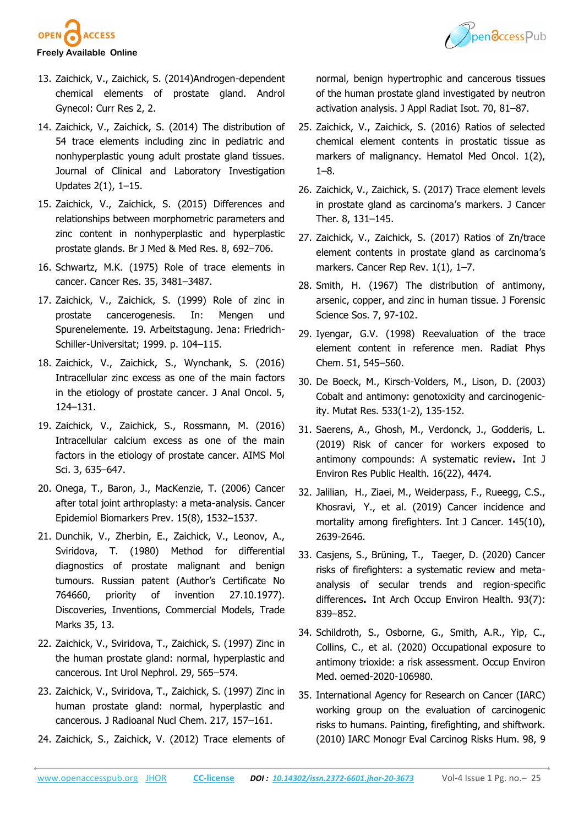



- **Freely Available Online**
- 13. Zaichick, V., Zaichick, S. (2014)Androgen-dependent chemical elements of prostate gland. Androl Gynecol: Curr Res 2, 2.
- 14. Zaichick, V., Zaichick, S. (2014) The distribution of 54 trace elements including zinc in pediatric and nonhyperplastic young adult prostate gland tissues. Journal of Clinical and Laboratory Investigation Updates 2(1), 1–15.
- 15. Zaichick, V., Zaichick, S. (2015) Differences and relationships between morphometric parameters and zinc content in nonhyperplastic and hyperplastic prostate glands. Br J Med & Med Res. 8, 692–706.
- 16. Schwartz, M.K. (1975) Role of trace elements in cancer. Cancer Res. 35, 3481–3487.
- 17. Zaichick, V., Zaichick, S. (1999) Role of zinc in prostate cancerogenesis. In: Mengen und Spurenelemente. 19. Arbeitstagung. Jena: Friedrich-Schiller-Universitat; 1999. p. 104–115.
- 18. Zaichick, V., Zaichick, S., Wynchank, S. (2016) Intracellular zinc excess as one of the main factors in the etiology of prostate cancer. J Anal Oncol. 5, 124–131.
- 19. Zaichick, V., Zaichick, S., Rossmann, M. (2016) Intracellular calcium excess as one of the main factors in the etiology of prostate cancer. AIMS Mol Sci. 3, 635–647.
- 20. Onega, T., Baron, J., MacKenzie, T. (2006) Cancer after total joint arthroplasty: a meta-analysis. Cancer Epidemiol Biomarkers Prev. 15(8), 1532–1537.
- 21. Dunchik, V., Zherbin, E., Zaichick, V., Leonov, A., Sviridova, T. (1980) Method for differential diagnostics of prostate malignant and benign tumours. Russian patent (Author's Certificate No 764660, priority of invention 27.10.1977). Discoveries, Inventions, Commercial Models, Trade Marks 35, 13.
- 22. Zaichick, V., Sviridova, T., Zaichick, S. (1997) Zinc in the human prostate gland: normal, hyperplastic and cancerous. Int Urol Nephrol. 29, 565–574.
- 23. Zaichick, V., Sviridova, T., Zaichick, S. (1997) Zinc in human prostate gland: normal, hyperplastic and cancerous. J Radioanal Nucl Chem. 217, 157–161.
- 24. Zaichick, S., Zaichick, V. (2012) Trace elements of

normal, benign hypertrophic and cancerous tissues of the human prostate gland investigated by neutron activation analysis. J Appl Radiat Isot. 70, 81–87.

- 25. Zaichick, V., Zaichick, S. (2016) Ratios of selected chemical element contents in prostatic tissue as markers of malignancy. Hematol Med Oncol. 1(2), 1–8.
- 26. Zaichick, V., Zaichick, S. (2017) Trace element levels in prostate gland as carcinoma's markers. J Cancer Ther. 8, 131–145.
- 27. Zaichick, V., Zaichick, S. (2017) Ratios of Zn/trace element contents in prostate gland as carcinoma's markers. Cancer Rep Rev. 1(1), 1–7.
- 28. Smith, H. (1967) The distribution of antimony, arsenic, copper, and zinc in human tissue. J Forensic Science Sos. 7, 97-102.
- 29. Iyengar, G.V. (1998) Reevaluation of the trace element content in reference men. Radiat Phys Chem. 51, 545–560.
- 30. De Boeck, M., Kirsch-Volders, M., Lison, D. (2003) Cobalt and antimony: genotoxicity and carcinogenicity. Mutat Res. 533(1-2), 135-152.
- 31. Saerens, A., Ghosh, M., Verdonck, J., Godderis, L. (2019) Risk of cancer for workers exposed to antimony compounds: A systematic review**.** [Int J](https://www.ncbi.nlm.nih.gov/pmc/articles/PMC6888331/)  [Environ Res Public Health.](https://www.ncbi.nlm.nih.gov/pmc/articles/PMC6888331/) 16(22), 4474.
- 32. Jalilian, H., Ziaei, M., Weiderpass, F., Rueegg, C.S., [Khosravi,](https://pubmed.ncbi.nlm.nih.gov/?term=Khosravi+Y&cauthor_id=30737784) Y., et al. (2019) Cancer incidence and mortality among firefighters. Int J Cancer. 145(10), 2639-2646.
- 33. Casjens, S., Brüning, T., Taeger, D. (2020) Cancer risks of firefighters: a systematic review and metaanalysis of secular trends and region-specific differences**.** [Int Arch Occup Environ Health.](https://www.ncbi.nlm.nih.gov/pmc/articles/PMC7452930/) 93(7): 839–852.
- 34. Schildroth, S., Osborne, G., Smith, A.R., Yip, C., Collins, C., et al. (2020) Occupational exposure to antimony trioxide: a risk assessment. Occup Environ Med. oemed-2020-106980.
- 35. International Agency for Research on Cancer (IARC) working group on the evaluation of carcinogenic risks to humans. Painting, firefighting, and shiftwork. (2010) IARC Monogr Eval Carcinog Risks Hum. 98, 9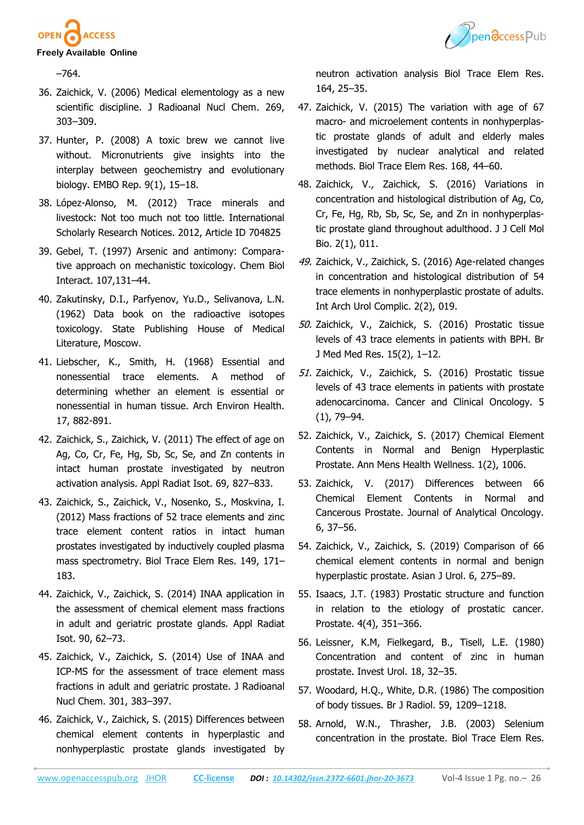



–764.

- 36. Zaichick, V. (2006) Medical elementology as a new scientific discipline. J Radioanal Nucl Chem. 269, 303–309.
- 37. Hunter, P. (2008) A toxic brew we cannot live without. Micronutrients give insights into the interplay between geochemistry and evolutionary biology. [EMBO Rep.](https://www.ncbi.nlm.nih.gov/pmc/articles/PMC2246629/) 9(1), 15–18.
- 38. López-Alonso, M. (2012) Trace minerals and livestock: Not too much not too little. International Scholarly Research Notices. 2012, Article ID 704825
- 39. Gebel, T. (1997) Arsenic and antimony: Comparative approach on mechanistic toxicology. Chem Biol Interact. 107,131–44.
- 40. Zakutinsky, D.I., Parfyenov, Yu.D., Selivanova, L.N. (1962) Data book on the radioactive isotopes toxicology. State Publishing House of Medical Literature, Moscow.
- 41. Liebscher, K., Smith, H. (1968) Essential and nonessential trace elements. A method of determining whether an element is essential or nonessential in human tissue. Arch Environ Health. 17, 882-891.
- 42. Zaichick, S., Zaichick, V. (2011) The effect of age on Ag, Co, Cr, Fe, Hg, Sb, Sc, Se, and Zn contents in intact human prostate investigated by neutron activation analysis. Appl Radiat Isot. 69, 827–833.
- 43. Zaichick, S., Zaichick, V., Nosenko, S., Moskvina, I. (2012) Mass fractions of 52 trace elements and zinc trace element content ratios in intact human prostates investigated by inductively coupled plasma mass spectrometry. Biol Trace Elem Res. 149, 171– 183.
- 44. Zaichick, V., Zaichick, S. (2014) INAA application in the assessment of chemical element mass fractions in adult and geriatric prostate glands. Appl Radiat Isot. 90, 62–73.
- 45. Zaichick, V., Zaichick, S. (2014) Use of INAA and ICP-MS for the assessment of trace element mass fractions in adult and geriatric prostate. J Radioanal Nucl Chem. 301, 383–397.
- 46. Zaichick, V., Zaichick, S. (2015) Differences between chemical element contents in hyperplastic and nonhyperplastic prostate glands investigated by

neutron activation analysis Biol Trace Elem Res. 164, 25–35.

- 47. Zaichick, V. (2015) The variation with age of 67 macro- and microelement contents in nonhyperplastic prostate glands of adult and elderly males investigated by nuclear analytical and related methods. Biol Trace Elem Res. 168, 44–60.
- 48. Zaichick, V., Zaichick, S. (2016) Variations in concentration and histological distribution of Ag, Co, Cr, Fe, Hg, Rb, Sb, Sc, Se, and Zn in nonhyperplastic prostate gland throughout adulthood. J J Cell Mol Bio. 2(1), 011.
- 49. Zaichick, V., Zaichick, S. (2016) Age-related changes in concentration and histological distribution of 54 trace elements in nonhyperplastic prostate of adults. Int Arch Urol Complic. 2(2), 019.
- 50. Zaichick, V., Zaichick, S. (2016) Prostatic tissue levels of 43 trace elements in patients with BPH. Br J Med Med Res. 15(2), 1–12.
- 51. Zaichick, V., Zaichick, S. (2016) Prostatic tissue levels of 43 trace elements in patients with prostate adenocarcinoma. Cancer and Clinical Oncology. 5 (1), 79–94.
- 52. Zaichick, V., Zaichick, S. (2017) Chemical Element Contents in Normal and Benign Hyperplastic Prostate. Ann Mens Health Wellness. 1(2), 1006.
- 53. Zaichick, V. (2017) Differences between 66 Chemical Element Contents in Normal and Cancerous Prostate. Journal of Analytical Oncology. 6, 37–56.
- 54. Zaichick, V., Zaichick, S. (2019) Comparison of 66 chemical element contents in normal and benign hyperplastic prostate. Asian J Urol. 6, 275–89.
- 55. Isaacs, J.T. (1983) Prostatic structure and function in relation to the etiology of prostatic cancer. Prostate. 4(4), 351–366.
- 56. Leissner, K.M, Fielkegard, B., Tisell, L.E. (1980) Concentration and content of zinc in human prostate. Invest Urol. 18, 32–35.
- 57. Woodard, H.Q., White, D.R. (1986) The composition of body tissues. Br J Radiol. 59, 1209–1218.
- 58. Arnold, W.N., Thrasher, J.B. (2003) Selenium concentration in the prostate. Biol Trace Elem Res.